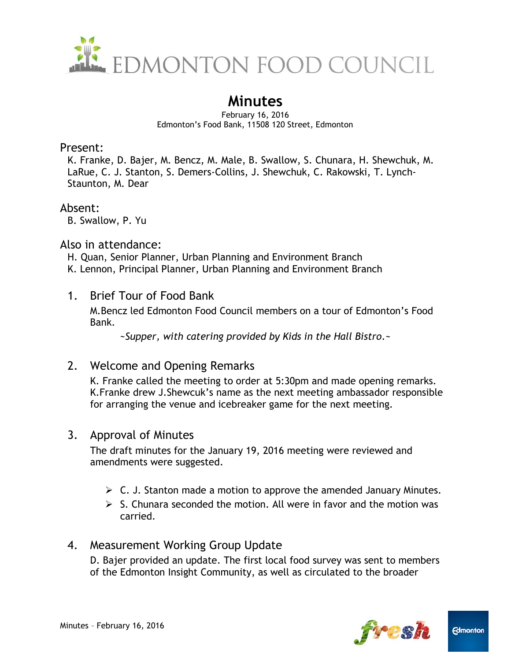

# **Minutes**

February 16, 2016 Edmonton's Food Bank, 11508 120 Street, Edmonton

### Present:

K. Franke, D. Bajer, M. Bencz, M. Male, B. Swallow, S. Chunara, H. Shewchuk, M. LaRue, C. J. Stanton, S. Demers-Collins, J. Shewchuk, C. Rakowski, T. Lynch-Staunton, M. Dear

### Absent:

B. Swallow, P. Yu

### Also in attendance:

H. Quan, Senior Planner, Urban Planning and Environment Branch K. Lennon, Principal Planner, Urban Planning and Environment Branch

1. Brief Tour of Food Bank

M.Bencz led Edmonton Food Council members on a tour of Edmonton's Food Bank.

*~Supper, with catering provided by Kids in the Hall Bistro.~*

# 2. Welcome and Opening Remarks

K. Franke called the meeting to order at 5:30pm and made opening remarks. K.Franke drew J.Shewcuk's name as the next meeting ambassador responsible for arranging the venue and icebreaker game for the next meeting.

# 3. Approval of Minutes

The draft minutes for the January 19, 2016 meeting were reviewed and amendments were suggested.

- $\triangleright$  C. J. Stanton made a motion to approve the amended January Minutes.
- $\geq$  S. Chunara seconded the motion. All were in favor and the motion was carried.

# 4. Measurement Working Group Update

D. Bajer provided an update. The first local food survey was sent to members of the Edmonton Insight Community, as well as circulated to the broader

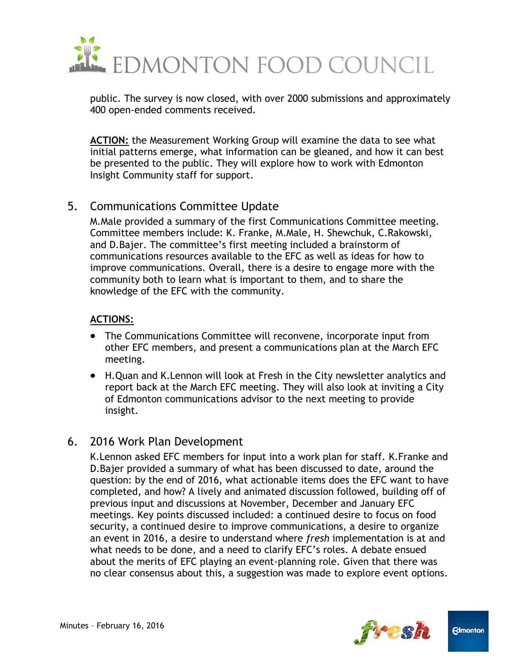

public. The survey is now closed, with over 2000 submissions and approximately 400 open-ended comments received.

**ACTION:** the Measurement Working Group will examine the data to see what initial patterns emerge, what information can be gleaned, and how it can best be presented to the public. They will explore how to work with Edmonton Insight Community staff for support.

# 5. Communications Committee Update

M.Male provided a summary of the first Communications Committee meeting. Committee members include: K. Franke, M.Male, H. Shewchuk, C.Rakowski, and D.Bajer. The committee's first meeting included a brainstorm of communications resources available to the EFC as well as ideas for how to improve communications. Overall, there is a desire to engage more with the community both to learn what is important to them, and to share the knowledge of the EFC with the community.

#### **ACTIONS:**

- The Communications Committee will reconvene, incorporate input from other EFC members, and present a communications plan at the March EFC meeting.
- H.Quan and K.Lennon will look at Fresh in the City newsletter analytics and report back at the March EFC meeting. They will also look at inviting a City of Edmonton communications advisor to the next meeting to provide insight.

# 6. 2016 Work Plan Development

K.Lennon asked EFC members for input into a work plan for staff. K.Franke and D.Bajer provided a summary of what has been discussed to date, around the question: by the end of 2016, what actionable items does the EFC want to have completed, and how? A lively and animated discussion followed, building off of previous input and discussions at November, December and January EFC meetings. Key points discussed included: a continued desire to focus on food security, a continued desire to improve communications, a desire to organize an event in 2016, a desire to understand where *fresh* implementation is at and what needs to be done, and a need to clarify EFC's roles. A debate ensued about the merits of EFC playing an event-planning role. Given that there was no clear consensus about this, a suggestion was made to explore event options.



**Edmonton**